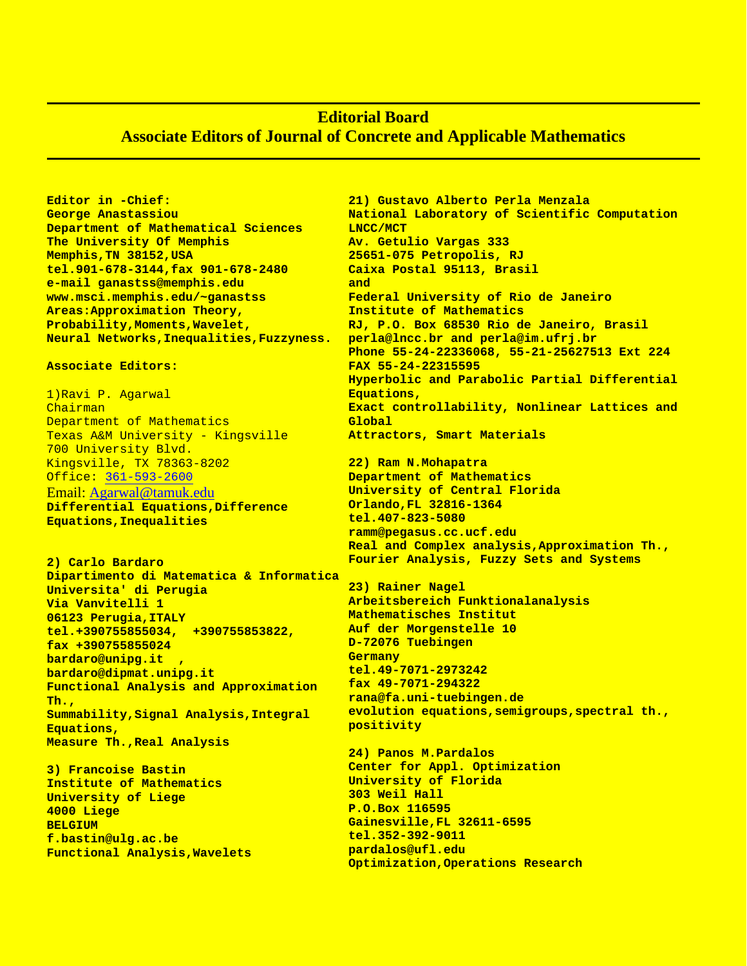## **Editorial Board Associate Editors of Journal of Concrete and Applicable Mathematics**

**pardalos@ufl.edu**

**Optimization,Operations Research**

**Editor in -Chief: George Anastassiou Department of Mathematical Sciences The University Of Memphis Memphis,TN 38152,USA tel.901-678-3144,fax 901-678-2480 e-mail ganastss@memphis.edu www.msci.memphis.edu/~ganastss Areas:Approximation Theory, Probability,Moments,Wavelet, Neural Networks,Inequalities,Fuzzyness.**

## **Associate Editors:**

1)Ravi P. Agarwal Chairman Department of Mathematics Texas A&M University - Kingsville 700 University Blvd. Kingsville, TX 78363-8202 Office: [361-593-2600](tel:361-593-2600) Email: [Agarwal@tamuk.edu](mailto:Agarwal@tamuk.edu) **Differential Equations,Difference Equations,Inequalities**

**2) Carlo Bardaro Dipartimento di Matematica & Informatica Universita' di Perugia Via Vanvitelli 1 06123 Perugia,ITALY tel.+390755855034, +390755853822, fax +390755855024 bardaro@unipg.it , bardaro@dipmat.unipg.it Functional Analysis and Approximation Th., Summability,Signal Analysis,Integral Equations, Measure Th.,Real Analysis**

**3) Francoise Bastin Institute of Mathematics University of Liege 4000 Liege BELGIUM f.bastin@ulg.ac.be Functional Analysis,Wavelets**

**21) Gustavo Alberto Perla Menzala National Laboratory of Scientific Computation LNCC/MCT Av. Getulio Vargas 333 25651-075 Petropolis, RJ Caixa Postal 95113, Brasil and Federal University of Rio de Janeiro Institute of Mathematics RJ, P.O. Box 68530 Rio de Janeiro, Brasil perla@lncc.br and perla@im.ufrj.br Phone 55-24-22336068, 55-21-25627513 Ext 224 FAX 55-24-22315595 Hyperbolic and Parabolic Partial Differential Equations, Exact controllability, Nonlinear Lattices and Global Attractors, Smart Materials 22) Ram N.Mohapatra Department of Mathematics University of Central Florida Orlando,FL 32816-1364 tel.407-823-5080 ramm@pegasus.cc.ucf.edu Real and Complex analysis,Approximation Th., Fourier Analysis, Fuzzy Sets and Systems 23) Rainer Nagel Arbeitsbereich Funktionalanalysis Mathematisches Institut Auf der Morgenstelle 10 D-72076 Tuebingen Germany tel.49-7071-2973242 fax 49-7071-294322 rana@fa.uni-tuebingen.de evolution equations,semigroups,spectral th., positivity 24) Panos M.Pardalos Center for Appl. Optimization University of Florida 303 Weil Hall P.O.Box 116595 Gainesville,FL 32611-6595 tel.352-392-9011**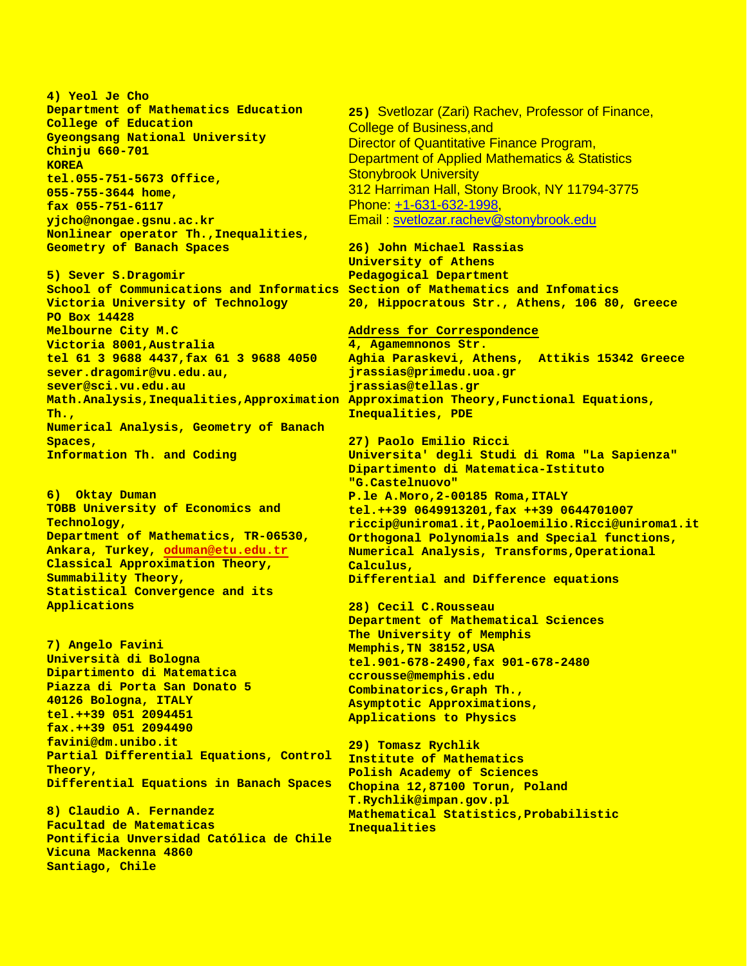**4) Yeol Je Cho Department of Mathematics Education College of Education Gyeongsang National University Chinju 660-701 KOREA tel.055-751-5673 Office, 055-755-3644 home, fax 055-751-6117 yjcho@nongae.gsnu.ac.kr Nonlinear operator Th.,Inequalities, Geometry of Banach Spaces**

**5) Sever S.Dragomir School of Communications and Informatics Section of Mathematics and Infomatics Victoria University of Technology PO Box 14428 Melbourne City M.C Victoria 8001,Australia tel 61 3 9688 4437,fax 61 3 9688 4050 sever.dragomir@vu.edu.au, sever@sci.vu.edu.au Th., Numerical Analysis, Geometry of Banach Spaces, Information Th. and Coding**

**6) Oktay Duman TOBB University of Economics and Technology, Department of Mathematics, TR-06530, Ankara, Turkey, [oduman@etu.edu.tr](mailto:oduman@etu.edu.tr) Classical Approximation Theory, Summability Theory, Statistical Convergence and its Applications**

**7) Angelo Favini Università di Bologna Dipartimento di Matematica Piazza di Porta San Donato 5 40126 Bologna, ITALY tel.++39 051 2094451 fax.++39 051 2094490 favini@dm.unibo.it Partial Differential Equations, Control Theory, Differential Equations in Banach Spaces**

**8) Claudio A. Fernandez Facultad de Matematicas Pontificia Unversidad Católica de Chile Vicuna Mackenna 4860 Santiago, Chile**

**25)** Svetlozar (Zari) Rachev, Professor of Finance, College of Business,and Director of Quantitative Finance Program, Department of Applied Mathematics & Statistics Stonybrook University 312 Harriman Hall, Stony Brook, NY 11794-3775 Phone: +1-631-632-1998 Email : [svetlozar.rachev@stonybrook.edu](mailto:svetlozar.rachev@stonybrook.edu)

**26) John Michael Rassias University of Athens Pedagogical Department 20, Hippocratous Str., Athens, 106 80, Greece**

**Math.Analysis,Inequalities,Approximation Approximation Theory,Functional Equations, Address for Correspondence 4, Agamemnonos Str. Aghia Paraskevi, Athens, Attikis 15342 Greece jrassias@primedu.uoa.gr jrassias@tellas.gr Inequalities, PDE**

> **27) Paolo Emilio Ricci Universita' degli Studi di Roma "La Sapienza" Dipartimento di Matematica-Istituto "G.Castelnuovo" P.le A.Moro,2-00185 Roma,ITALY tel.++39 0649913201,fax ++39 0644701007 riccip@uniroma1.it,Paoloemilio.Ricci@uniroma1.it Orthogonal Polynomials and Special functions, Numerical Analysis, Transforms,Operational Calculus, Differential and Difference equations**

**28) Cecil C.Rousseau Department of Mathematical Sciences The University of Memphis Memphis,TN 38152,USA tel.901-678-2490,fax 901-678-2480 ccrousse@memphis.edu Combinatorics,Graph Th., Asymptotic Approximations, Applications to Physics**

**29) Tomasz Rychlik Institute of Mathematics Polish Academy of Sciences Chopina 12,87100 Torun, Poland T.Rychlik@impan.gov.pl Mathematical Statistics,Probabilistic Inequalities**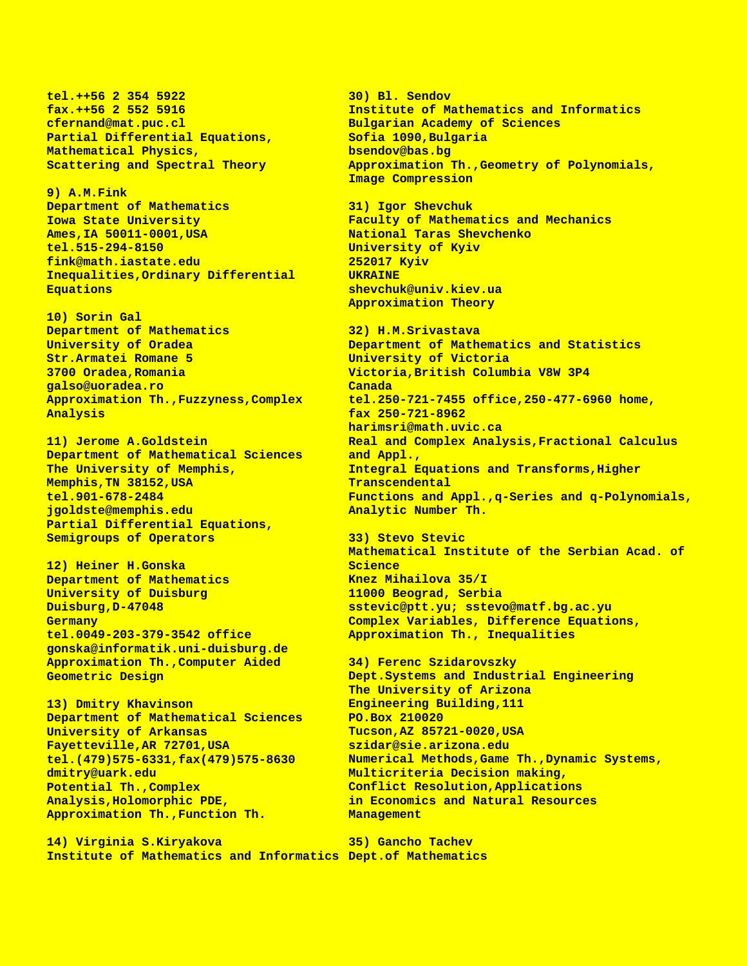**tel.++56 2 354 5922 fax.++56 2 552 5916 cfernand@mat.puc.cl Partial Differential Equations, Mathematical Physics, Scattering and Spectral Theory**

**9) A.M.Fink Department of Mathematics Iowa State University Ames,IA 50011-0001,USA tel.515-294-8150 fink@math.iastate.edu Inequalities,Ordinary Differential Equations**

**10) Sorin Gal Department of Mathematics University of Oradea Str.Armatei Romane 5 3700 Oradea,Romania galso@uoradea.ro Approximation Th.,Fuzzyness,Complex Analysis** 

**11) Jerome A.Goldstein Department of Mathematical Sciences The University of Memphis, Memphis,TN 38152,USA tel.901-678-2484 jgoldste@memphis.edu Partial Differential Equations, Semigroups of Operators**

**12) Heiner H.Gonska Department of Mathematics University of Duisburg Duisburg,D-47048 Germany tel.0049-203-379-3542 office gonska@informatik.uni-duisburg.de Approximation Th.,Computer Aided Geometric Design**

**13) Dmitry Khavinson Department of Mathematical Sciences University of Arkansas Fayetteville,AR 72701,USA tel.(479)575-6331,fax(479)575-8630 dmitry@uark.edu Potential Th.,Complex Analysis,Holomorphic PDE, Approximation Th.,Function Th.**

**14) Virginia S.Kiryakova Institute of Mathematics and Informatics Dept.of Mathematics**

**30) Bl. Sendov Institute of Mathematics and Informatics Bulgarian Academy of Sciences Sofia 1090,Bulgaria bsendov@bas.bg Approximation Th.,Geometry of Polynomials, Image Compression**

**31) Igor Shevchuk Faculty of Mathematics and Mechanics National Taras Shevchenko University of Kyiv 252017 Kyiv UKRAINE shevchuk@univ.kiev.ua Approximation Theory**

**32) H.M.Srivastava Department of Mathematics and Statistics University of Victoria Victoria,British Columbia V8W 3P4 Canada tel.250-721-7455 office,250-477-6960 home, fax 250-721-8962 harimsri@math.uvic.ca Real and Complex Analysis,Fractional Calculus and Appl., Integral Equations and Transforms,Higher Transcendental Functions and Appl.,q-Series and q-Polynomials, Analytic Number Th.**

**33) Stevo Stevic Mathematical Institute of the Serbian Acad. of Science Knez Mihailova 35/I 11000 Beograd, Serbia sstevic@ptt.yu; sstevo@matf.bg.ac.yu Complex Variables, Difference Equations, Approximation Th., Inequalities**

**34) Ferenc Szidarovszky Dept.Systems and Industrial Engineering The University of Arizona Engineering Building,111 PO.Box 210020 Tucson,AZ 85721-0020,USA szidar@sie.arizona.edu Numerical Methods,Game Th.,Dynamic Systems, Multicriteria Decision making, Conflict Resolution,Applications in Economics and Natural Resources Management**

**35) Gancho Tachev**